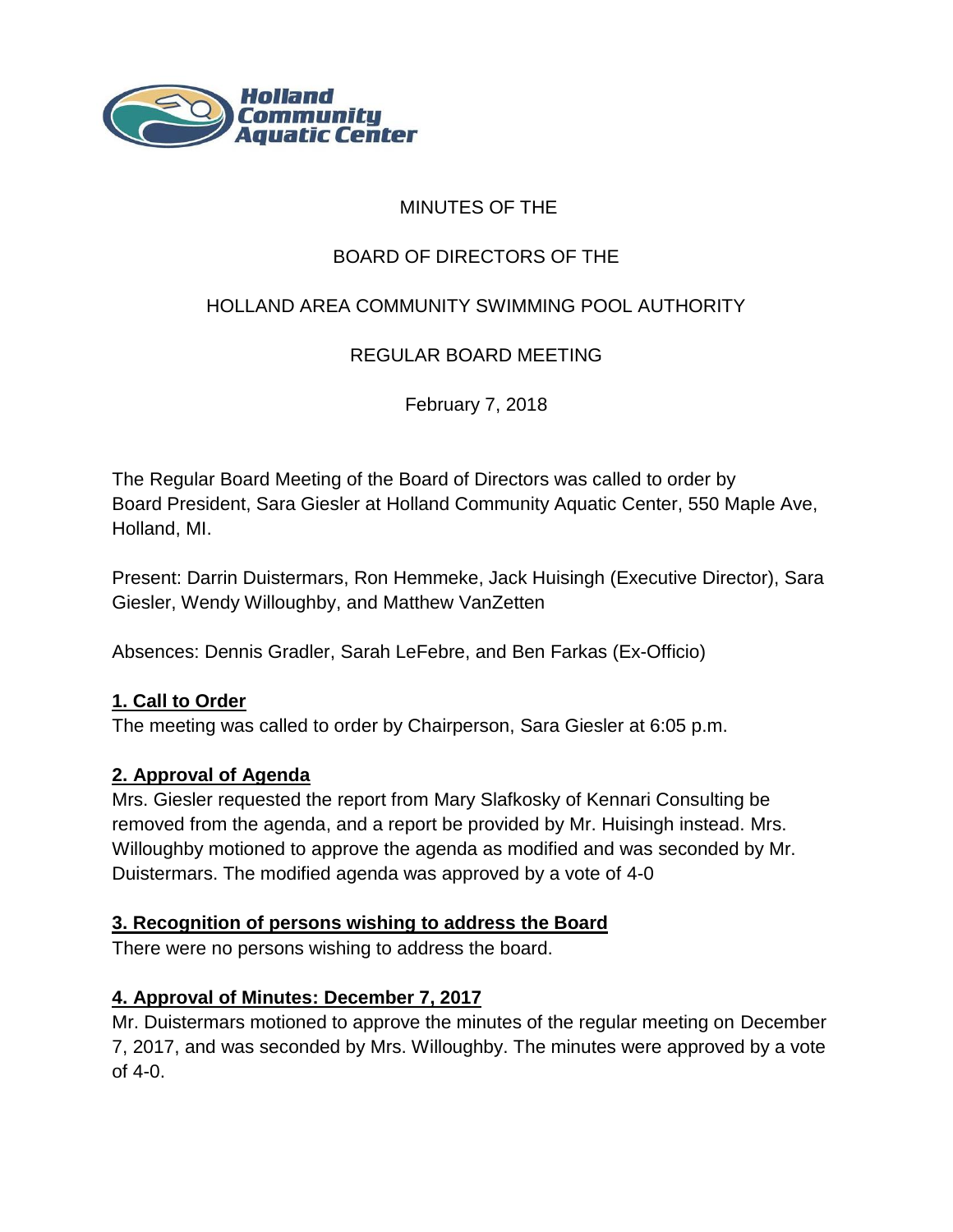

## MINUTES OF THE

# BOARD OF DIRECTORS OF THE

# HOLLAND AREA COMMUNITY SWIMMING POOL AUTHORITY

REGULAR BOARD MEETING

February 7, 2018

The Regular Board Meeting of the Board of Directors was called to order by Board President, Sara Giesler at Holland Community Aquatic Center, 550 Maple Ave, Holland, MI.

Present: Darrin Duistermars, Ron Hemmeke, Jack Huisingh (Executive Director), Sara Giesler, Wendy Willoughby, and Matthew VanZetten

Absences: Dennis Gradler, Sarah LeFebre, and Ben Farkas (Ex-Officio)

#### **1. Call to Order**

The meeting was called to order by Chairperson, Sara Giesler at 6:05 p.m.

### **2. Approval of Agenda**

Mrs. Giesler requested the report from Mary Slafkosky of Kennari Consulting be removed from the agenda, and a report be provided by Mr. Huisingh instead. Mrs. Willoughby motioned to approve the agenda as modified and was seconded by Mr. Duistermars. The modified agenda was approved by a vote of 4-0

#### **3. Recognition of persons wishing to address the Board**

There were no persons wishing to address the board.

### **4. Approval of Minutes: December 7, 2017**

Mr. Duistermars motioned to approve the minutes of the regular meeting on December 7, 2017, and was seconded by Mrs. Willoughby. The minutes were approved by a vote of 4-0.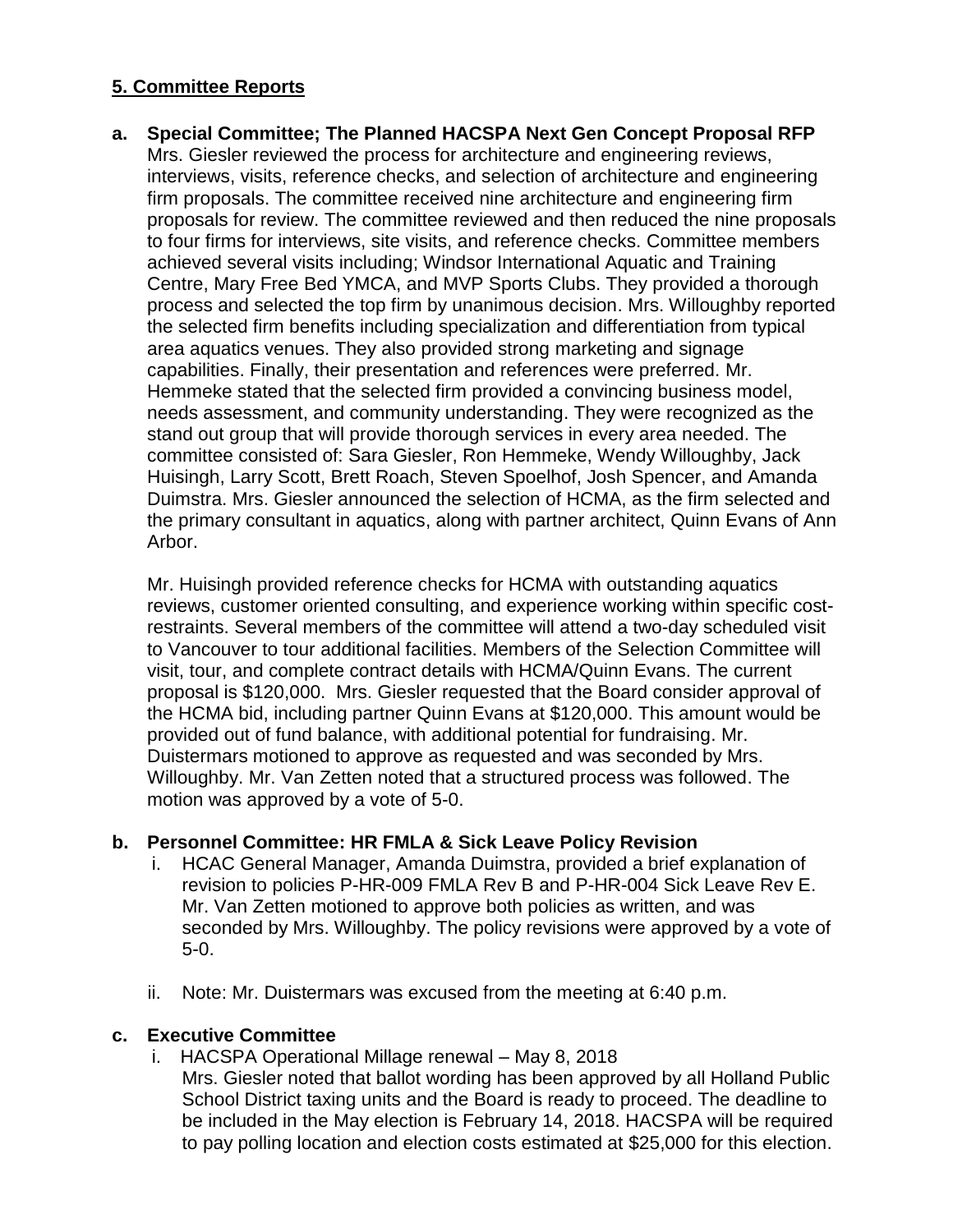# **5. Committee Reports**

## **a. Special Committee; The Planned HACSPA Next Gen Concept Proposal RFP**  Mrs. Giesler reviewed the process for architecture and engineering reviews,

interviews, visits, reference checks, and selection of architecture and engineering firm proposals. The committee received nine architecture and engineering firm proposals for review. The committee reviewed and then reduced the nine proposals to four firms for interviews, site visits, and reference checks. Committee members achieved several visits including; Windsor International Aquatic and Training Centre, Mary Free Bed YMCA, and MVP Sports Clubs. They provided a thorough process and selected the top firm by unanimous decision. Mrs. Willoughby reported the selected firm benefits including specialization and differentiation from typical area aquatics venues. They also provided strong marketing and signage capabilities. Finally, their presentation and references were preferred. Mr. Hemmeke stated that the selected firm provided a convincing business model, needs assessment, and community understanding. They were recognized as the stand out group that will provide thorough services in every area needed. The committee consisted of: Sara Giesler, Ron Hemmeke, Wendy Willoughby, Jack Huisingh, Larry Scott, Brett Roach, Steven Spoelhof, Josh Spencer, and Amanda Duimstra. Mrs. Giesler announced the selection of HCMA, as the firm selected and the primary consultant in aquatics, along with partner architect, Quinn Evans of Ann Arbor.

Mr. Huisingh provided reference checks for HCMA with outstanding aquatics reviews, customer oriented consulting, and experience working within specific costrestraints. Several members of the committee will attend a two-day scheduled visit to Vancouver to tour additional facilities. Members of the Selection Committee will visit, tour, and complete contract details with HCMA/Quinn Evans. The current proposal is \$120,000. Mrs. Giesler requested that the Board consider approval of the HCMA bid, including partner Quinn Evans at \$120,000. This amount would be provided out of fund balance, with additional potential for fundraising. Mr. Duistermars motioned to approve as requested and was seconded by Mrs. Willoughby. Mr. Van Zetten noted that a structured process was followed. The motion was approved by a vote of 5-0.

#### **b. Personnel Committee: HR FMLA & Sick Leave Policy Revision**

- i. HCAC General Manager, Amanda Duimstra, provided a brief explanation of revision to policies P-HR-009 FMLA Rev B and P-HR-004 Sick Leave Rev E. Mr. Van Zetten motioned to approve both policies as written, and was seconded by Mrs. Willoughby. The policy revisions were approved by a vote of 5-0.
- ii. Note: Mr. Duistermars was excused from the meeting at 6:40 p.m.

#### **c. Executive Committee**

- i. HACSPA Operational Millage renewal May 8, 2018
	- Mrs. Giesler noted that ballot wording has been approved by all Holland Public School District taxing units and the Board is ready to proceed. The deadline to be included in the May election is February 14, 2018. HACSPA will be required to pay polling location and election costs estimated at \$25,000 for this election.